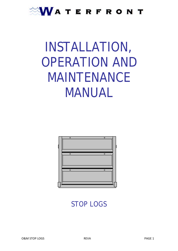### WATERFRONT

# INSTALLATION, OPERATION AND MAINTENANCE MANUAL



STOP LOGS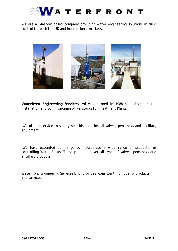

We are a Glasgow based company providing water engineering solutions in fluid control for both the UK and International markets.



**Waterfront Engineering Services Ltd** was formed in 1988 specialising in the installation and commissioning of Penstocks for Treatment Plants.

We offer a service to supply refurbish and install valves, penstocks and ancillary equipment.

 We have extended our range to incorporate a wide range of products for controlling Water Flows. These products cover all types of valves, penstocks and ancillary products.

Waterfront Engineering Services LTD provides consistent high quality products and services.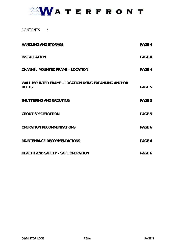### WATERFRONT

### CONTENTS :

| <b>HANDLING AND STORAGE</b>                                          | PAGE 4 |
|----------------------------------------------------------------------|--------|
| <b>INSTALLATION</b>                                                  | PAGE 4 |
| <b>CHANNEL MOUNTED FRAME - LOCATION</b>                              | PAGE 4 |
| WALL MOUNTED FRAME - LOCATION USING EXPANDING ANCHOR<br><b>BOLTS</b> | PAGE 5 |
| <b>SHUTTERING AND GROUTING</b>                                       | PAGE 5 |
| <b>GROUT SPECIFICATION</b>                                           | PAGE 5 |
| <b>OPERATION RECOMMENDATIONS</b>                                     | PAGE 6 |
| <b>MAINTENANCE RECOMMENDATIONS</b>                                   | PAGE 6 |
| <b>HEALTH AND SAFETY - SAFE OPERATION</b>                            | PAGE 6 |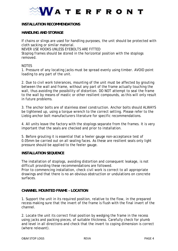## **VATERFRONT**

#### **INSTALLATION RECOMMENDATIONS**

#### **HANDLING AND STORAGE**

If chains or slings are used for handling purposes, the unit should be protected with cloth sacking or similar material. NEVER USE HOOKS UNLESS EYEBOLTS ARE FITTED Stoplog frames should be stored in the horizontal position with the stoplogs removed.

#### **NOTES**

1. Pressure of any locating jacks must be spread evenly using timber. AVOID point loading to any part of the unit.

2. Due to civil work tolerances, mounting of the unit must be affected by grouting between the wall and frame, without any part of the frame actually touching the wall, thus avoiding the possibility of distortion. DO NOT attempt to seal the frame to the wall by means of mastic or other resilient compounds, as this will only result in future problems.

3. The anchor bolts are of stainless steel construction. Anchor bolts should ALWAYS be tightened up, using a torque wrench to the correct setting. Please refer to the Liebig anchor bolt manufacturers literature for specific recommendations.

4. All units leave the factory with the stoplogs separate from the frames. It is very important that the seals are checked and prior to installation.

5. Before grouting it is essential that a feeler gauge non-acceptance test of 0.05mm be carried out on all sealing faces. As these are resilient seals only light pressure should be applied to the feeler gauge.

#### **INSTALLATION SEQUENCE**

The installation of stoplogs, avoiding distortion and consequent leakage, is not difficult providing these recommendations are followed.

Prior to commencing installation, check civil work is correct to all appropriate drawings and that there is no an obvious obstruction or undulations on concrete surfaces.

#### **CHANNEL MOUNTED FRAME – LOCATION**

1. Support the unit in its required position, relative to the flow, in the prepared recess making sure that the invert of the frame is flush with the final invert of the channel.

2. Locate the unit its correct final position by wedging the frame in the recess using jacks and packing pieces, of suitable thickness. Carefully check for plumb and level in all directions and check that the invert to coping dimension is correct (where relevant).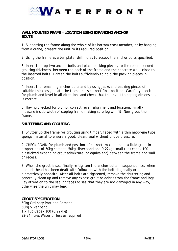

#### **WALL MOUNTED FRAME – LOCATION USING EXPANDING ANCHOR BOLTS**

1. Supporting the frame along the whole of its bottom cross member, or by hanging from a crane, present the unit to its required position.

2. Using the frame as a template, drill holes to accept the anchor bolts specified.

3. Insert the top two anchor bolts and place packing pieces, to the recommended grouting thickness, between the back of the frame and the concrete wall, close to the inserted bolts. Tighten the bolts sufficiently to hold the packing pieces in position.

4. Insert the remaining anchor bolts and by using jacks and packing pieces of suitable thickness, locate the frame in its correct final position. Carefully check for plumb and level in all directions and check that the invert to coping dimensions is correct.

5. Having checked for plumb, correct level, alignment and location. Finally measure inside width of stoplog frame making sure log will fit. Now grout the frame.

#### **SHUTTERING AND GROUTING**

1. Shutter up the frame for grouting using timber, faced with a thin neoprene type sponge material to ensure a good, clean, seal without undue pressure.

2. CHECK AGAIN for plumb and position. If correct, mix and pour a fluid grout in proportions of 50kg cement, 50kg silver sand and 0.22kg (small tub) cebex 100 plasticized expanding grout admixture (or equivalent) between the frame and wall or recess.

3. When the grout is set, finally re-tighten the anchor bolts in sequence, i.e. when one bolt head has been dealt with follow on with the bolt diagonally or diametrically opposite. After all bolts are tightened, remove the shuttering and generally clean up and remove any excess grout or debris from the frame and logs. Pay attention to the sealing faces to see that they are not damaged in any way, otherwise the unit may leak.

#### **GROUT SPECIFICATION**

50kg Ordinary Portland Cement 50kg Silver Sand 1 x Tub Cebex 100 (0.227kg) 22-24 litres Water or less as required